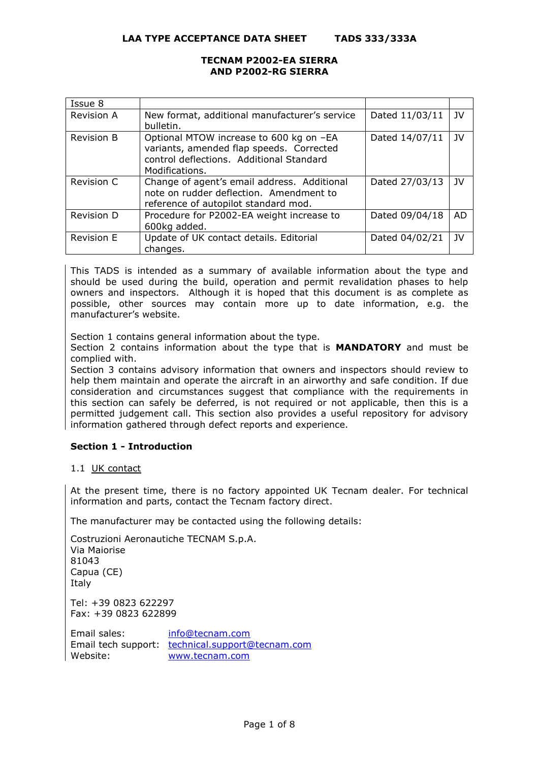**LAA TYPE ACCEPTANCE DATA SHEET TADS 333/333A**

# **TECNAM P2002-EA SIERRA AND P2002-RG SIERRA**

| Issue 8           |                                                                                                                                                   |                |           |
|-------------------|---------------------------------------------------------------------------------------------------------------------------------------------------|----------------|-----------|
| Revision A        | New format, additional manufacturer's service<br>bulletin.                                                                                        | Dated 11/03/11 | JV        |
| <b>Revision B</b> | Optional MTOW increase to 600 kg on -EA<br>variants, amended flap speeds. Corrected<br>control deflections. Additional Standard<br>Modifications. | Dated 14/07/11 | JV        |
| Revision C        | Change of agent's email address. Additional<br>note on rudder deflection. Amendment to<br>reference of autopilot standard mod.                    | Dated 27/03/13 | JV        |
| Revision D        | Procedure for P2002-EA weight increase to<br>600kg added.                                                                                         | Dated 09/04/18 | <b>AD</b> |
| <b>Revision E</b> | Update of UK contact details. Editorial<br>changes.                                                                                               | Dated 04/02/21 | JV        |

This TADS is intended as a summary of available information about the type and should be used during the build, operation and permit revalidation phases to help owners and inspectors. Although it is hoped that this document is as complete as possible, other sources may contain more up to date information, e.g. the manufacturer's website.

Section 1 contains general information about the type.

Section 2 contains information about the type that is **MANDATORY** and must be complied with.

Section 3 contains advisory information that owners and inspectors should review to help them maintain and operate the aircraft in an airworthy and safe condition. If due consideration and circumstances suggest that compliance with the requirements in this section can safely be deferred, is not required or not applicable, then this is a permitted judgement call. This section also provides a useful repository for advisory information gathered through defect reports and experience.

# **Section 1 - Introduction**

# 1.1 UK contact

At the present time, there is no factory appointed UK Tecnam dealer. For technical information and parts, contact the Tecnam factory direct.

The manufacturer may be contacted using the following details:

Costruzioni Aeronautiche TECNAM S.p.A. Via Maiorise 81043 Capua (CE) Italy Tel: +39 0823 622297 Fax: +39 0823 622899

Email sales: [info@tecnam.com](mailto:info@tecnam.com) Email tech support: [technical.support@tecnam.com](mailto:technical.support@tecnam.com) Website: [www.tecnam.com](https://www.tecnam.com/)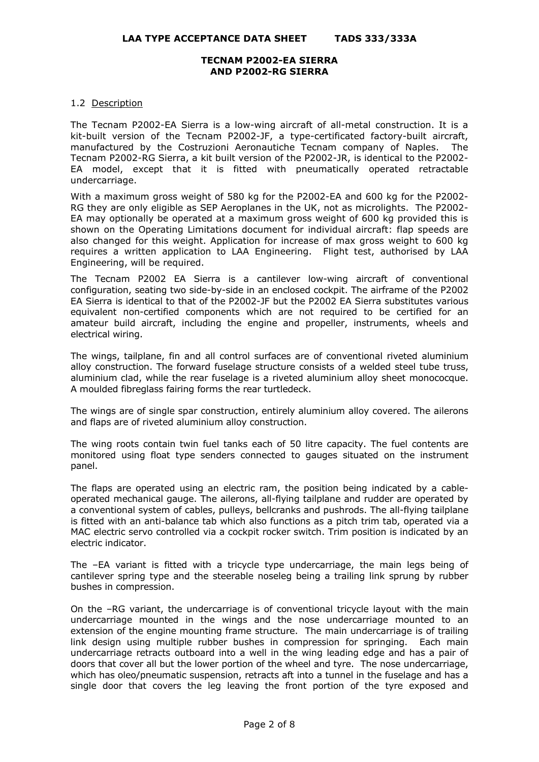### 1.2 Description

The Tecnam P2002-EA Sierra is a low-wing aircraft of all-metal construction. It is a kit-built version of the Tecnam P2002-JF, a type-certificated factory-built aircraft, manufactured by the Costruzioni Aeronautiche Tecnam company of Naples. The Tecnam P2002-RG Sierra, a kit built version of the P2002-JR, is identical to the P2002- EA model, except that it is fitted with pneumatically operated retractable undercarriage.

With a maximum gross weight of 580 kg for the P2002-EA and 600 kg for the P2002- RG they are only eligible as SEP Aeroplanes in the UK, not as microlights. The P2002- EA may optionally be operated at a maximum gross weight of 600 kg provided this is shown on the Operating Limitations document for individual aircraft: flap speeds are also changed for this weight. Application for increase of max gross weight to 600 kg requires a written application to LAA Engineering. Flight test, authorised by LAA Engineering, will be required.

The Tecnam P2002 EA Sierra is a cantilever low-wing aircraft of conventional configuration, seating two side-by-side in an enclosed cockpit. The airframe of the P2002 EA Sierra is identical to that of the P2002-JF but the P2002 EA Sierra substitutes various equivalent non-certified components which are not required to be certified for an amateur build aircraft, including the engine and propeller, instruments, wheels and electrical wiring.

The wings, tailplane, fin and all control surfaces are of conventional riveted aluminium alloy construction. The forward fuselage structure consists of a welded steel tube truss, aluminium clad, while the rear fuselage is a riveted aluminium alloy sheet monococque. A moulded fibreglass fairing forms the rear turtledeck.

The wings are of single spar construction, entirely aluminium alloy covered. The ailerons and flaps are of riveted aluminium alloy construction.

The wing roots contain twin fuel tanks each of 50 litre capacity. The fuel contents are monitored using float type senders connected to gauges situated on the instrument panel.

The flaps are operated using an electric ram, the position being indicated by a cableoperated mechanical gauge. The ailerons, all-flying tailplane and rudder are operated by a conventional system of cables, pulleys, bellcranks and pushrods. The all-flying tailplane is fitted with an anti-balance tab which also functions as a pitch trim tab, operated via a MAC electric servo controlled via a cockpit rocker switch. Trim position is indicated by an electric indicator.

The –EA variant is fitted with a tricycle type undercarriage, the main legs being of cantilever spring type and the steerable noseleg being a trailing link sprung by rubber bushes in compression.

On the –RG variant, the undercarriage is of conventional tricycle layout with the main undercarriage mounted in the wings and the nose undercarriage mounted to an extension of the engine mounting frame structure. The main undercarriage is of trailing link design using multiple rubber bushes in compression for springing. Each main undercarriage retracts outboard into a well in the wing leading edge and has a pair of doors that cover all but the lower portion of the wheel and tyre. The nose undercarriage, which has oleo/pneumatic suspension, retracts aft into a tunnel in the fuselage and has a single door that covers the leg leaving the front portion of the tyre exposed and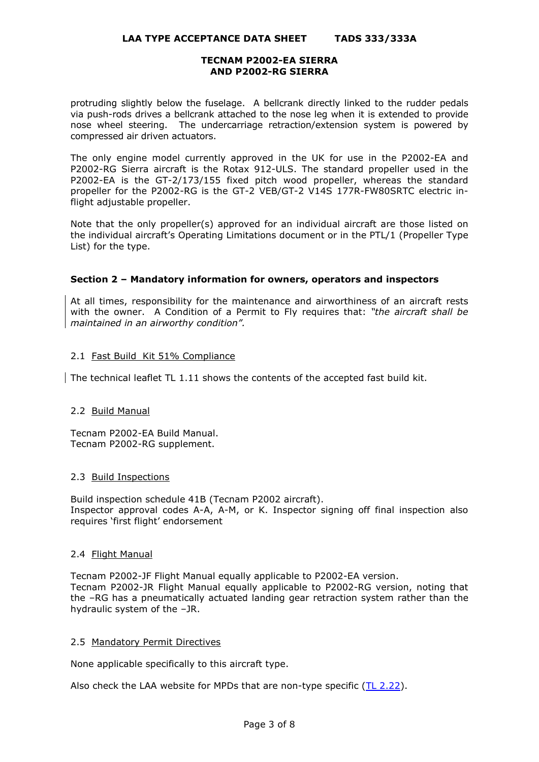protruding slightly below the fuselage. A bellcrank directly linked to the rudder pedals via push-rods drives a bellcrank attached to the nose leg when it is extended to provide nose wheel steering. The undercarriage retraction/extension system is powered by compressed air driven actuators.

The only engine model currently approved in the UK for use in the P2002-EA and P2002-RG Sierra aircraft is the Rotax 912-ULS. The standard propeller used in the P2002-EA is the GT-2/173/155 fixed pitch wood propeller, whereas the standard propeller for the P2002-RG is the GT-2 VEB/GT-2 V14S 177R-FW80SRTC electric inflight adjustable propeller.

Note that the only propeller(s) approved for an individual aircraft are those listed on the individual aircraft's Operating Limitations document or in the PTL/1 (Propeller Type List) for the type.

# **Section 2 – Mandatory information for owners, operators and inspectors**

At all times, responsibility for the maintenance and airworthiness of an aircraft rests with the owner. A Condition of a Permit to Fly requires that: *"the aircraft shall be maintained in an airworthy condition".* 

# 2.1 Fast Build Kit 51% Compliance

The technical leaflet TL 1.11 shows the contents of the accepted fast build kit.

# 2.2 Build Manual

Tecnam P2002-EA Build Manual. Tecnam P2002-RG supplement.

# 2.3 Build Inspections

Build inspection schedule 41B (Tecnam P2002 aircraft). Inspector approval codes A-A, A-M, or K. Inspector signing off final inspection also requires 'first flight' endorsement

# 2.4 Flight Manual

Tecnam P2002-JF Flight Manual equally applicable to P2002-EA version. Tecnam P2002-JR Flight Manual equally applicable to P2002-RG version, noting that the –RG has a pneumatically actuated landing gear retraction system rather than the hydraulic system of the –JR.

# 2.5 Mandatory Permit Directives

None applicable specifically to this aircraft type.

Also check the LAA website for MPDs that are non-type specific  $(TL 2.22)$ .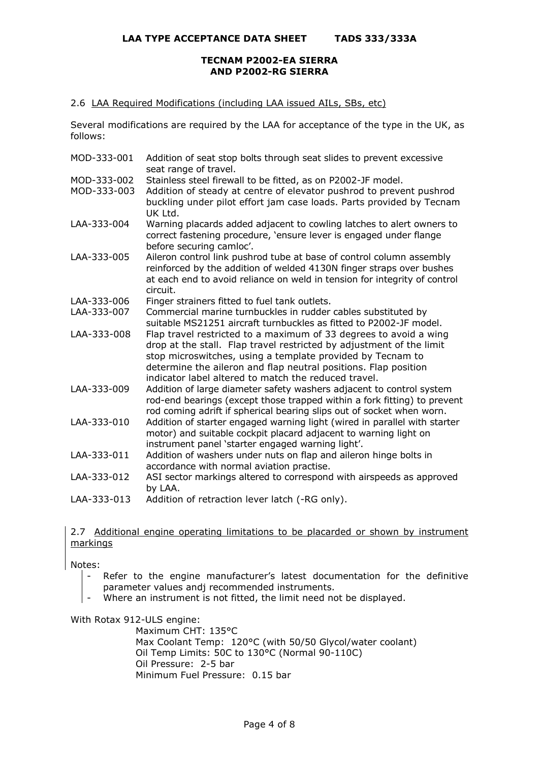### 2.6 LAA Required Modifications (including LAA issued AILs, SBs, etc)

Several modifications are required by the LAA for acceptance of the type in the UK, as follows:

| MOD-333-001                | Addition of seat stop bolts through seat slides to prevent excessive<br>seat range of travel.                                                                                                                                                                                                                                      |
|----------------------------|------------------------------------------------------------------------------------------------------------------------------------------------------------------------------------------------------------------------------------------------------------------------------------------------------------------------------------|
| MOD-333-002<br>MOD-333-003 | Stainless steel firewall to be fitted, as on P2002-JF model.<br>Addition of steady at centre of elevator pushrod to prevent pushrod<br>buckling under pilot effort jam case loads. Parts provided by Tecnam<br>UK Ltd.                                                                                                             |
| LAA-333-004                | Warning placards added adjacent to cowling latches to alert owners to<br>correct fastening procedure, 'ensure lever is engaged under flange<br>before securing camloc'.                                                                                                                                                            |
| LAA-333-005                | Aileron control link pushrod tube at base of control column assembly<br>reinforced by the addition of welded 4130N finger straps over bushes<br>at each end to avoid reliance on weld in tension for integrity of control<br>circuit.                                                                                              |
| LAA-333-006                | Finger strainers fitted to fuel tank outlets.                                                                                                                                                                                                                                                                                      |
| LAA-333-007                | Commercial marine turnbuckles in rudder cables substituted by<br>suitable MS21251 aircraft turnbuckles as fitted to P2002-JF model.                                                                                                                                                                                                |
| LAA-333-008                | Flap travel restricted to a maximum of 33 degrees to avoid a wing<br>drop at the stall. Flap travel restricted by adjustment of the limit<br>stop microswitches, using a template provided by Tecnam to<br>determine the aileron and flap neutral positions. Flap position<br>indicator label altered to match the reduced travel. |
| LAA-333-009                | Addition of large diameter safety washers adjacent to control system<br>rod-end bearings (except those trapped within a fork fitting) to prevent<br>rod coming adrift if spherical bearing slips out of socket when worn.                                                                                                          |
| LAA-333-010                | Addition of starter engaged warning light (wired in parallel with starter<br>motor) and suitable cockpit placard adjacent to warning light on<br>instrument panel 'starter engaged warning light'.                                                                                                                                 |
| LAA-333-011                | Addition of washers under nuts on flap and aileron hinge bolts in<br>accordance with normal aviation practise.                                                                                                                                                                                                                     |
| LAA-333-012                | ASI sector markings altered to correspond with airspeeds as approved<br>by LAA.                                                                                                                                                                                                                                                    |
| LAA-333-013                | Addition of retraction lever latch (-RG only).                                                                                                                                                                                                                                                                                     |

2.7 Additional engine operating limitations to be placarded or shown by instrument markings

Notes:

- Refer to the engine manufacturer's latest documentation for the definitive parameter values andj recommended instruments.
- Where an instrument is not fitted, the limit need not be displayed.

With Rotax 912-ULS engine:

Maximum CHT: 135°C Max Coolant Temp: 120°C (with 50/50 Glycol/water coolant) Oil Temp Limits: 50C to 130°C (Normal 90-110C) Oil Pressure: 2-5 bar Minimum Fuel Pressure: 0.15 bar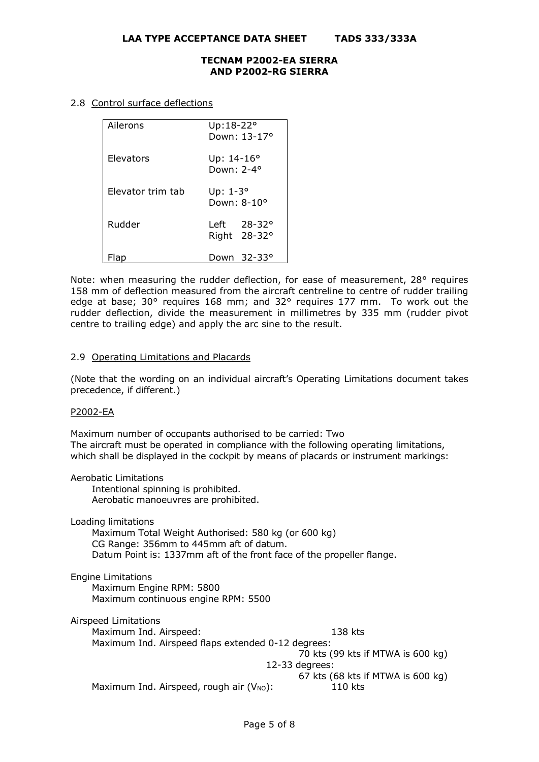### 2.8 Control surface deflections

| Ailerons          | Up:18-22°<br>Down: 13-17°                       |
|-------------------|-------------------------------------------------|
| Elevators         | Up: $14 - 16^{\circ}$<br>Down: 2-4 <sup>o</sup> |
| Elevator trim tab | Up: $1-3^\circ$<br>Down: 8-10°                  |
| Rudder            | Left 28-32°<br>Right 28-32°                     |
|                   | Down 32-33°                                     |

Note: when measuring the rudder deflection, for ease of measurement, 28° requires 158 mm of deflection measured from the aircraft centreline to centre of rudder trailing edge at base; 30° requires 168 mm; and 32° requires 177 mm. To work out the rudder deflection, divide the measurement in millimetres by 335 mm (rudder pivot centre to trailing edge) and apply the arc sine to the result.

#### 2.9 Operating Limitations and Placards

(Note that the wording on an individual aircraft's Operating Limitations document takes precedence, if different.)

#### P2002-EA

Maximum number of occupants authorised to be carried: Two The aircraft must be operated in compliance with the following operating limitations, which shall be displayed in the cockpit by means of placards or instrument markings:

Aerobatic Limitations Intentional spinning is prohibited. Aerobatic manoeuvres are prohibited.

Loading limitations

 Maximum Total Weight Authorised: 580 kg (or 600 kg) CG Range: 356mm to 445mm aft of datum. Datum Point is: 1337mm aft of the front face of the propeller flange.

Engine Limitations

 Maximum Engine RPM: 5800 Maximum continuous engine RPM: 5500

Airspeed Limitations Maximum Ind. Airspeed: 138 kts Maximum Ind. Airspeed flaps extended 0-12 degrees: 70 kts (99 kts if MTWA is 600 kg) 12-33 degrees: 67 kts (68 kts if MTWA is 600 kg) Maximum Ind. Airspeed, rough air  $(V_{NO})$ : 110 kts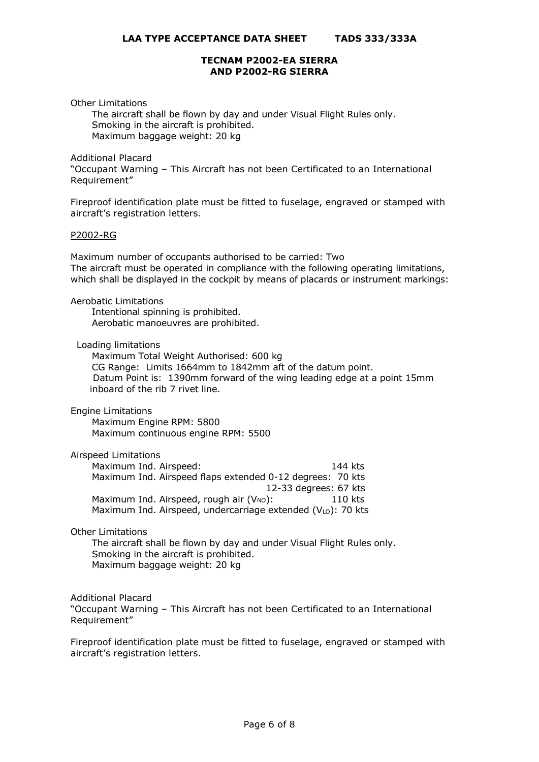Other Limitations

 The aircraft shall be flown by day and under Visual Flight Rules only. Smoking in the aircraft is prohibited. Maximum baggage weight: 20 kg

Additional Placard

"Occupant Warning – This Aircraft has not been Certificated to an International Requirement"

Fireproof identification plate must be fitted to fuselage, engraved or stamped with aircraft's registration letters.

#### P2002-RG

Maximum number of occupants authorised to be carried: Two The aircraft must be operated in compliance with the following operating limitations, which shall be displayed in the cockpit by means of placards or instrument markings:

Aerobatic Limitations

 Intentional spinning is prohibited. Aerobatic manoeuvres are prohibited.

Loading limitations

 Maximum Total Weight Authorised: 600 kg CG Range: Limits 1664mm to 1842mm aft of the datum point. Datum Point is: 1390mm forward of the wing leading edge at a point 15mm inboard of the rib 7 rivet line.

Engine Limitations

 Maximum Engine RPM: 5800 Maximum continuous engine RPM: 5500

Airspeed Limitations

Maximum Ind. Airspeed: 144 kts Maximum Ind. Airspeed flaps extended 0-12 degrees: 70 kts 12-33 degrees: 67 kts Maximum Ind. Airspeed, rough air  $(V_{NO})$ : 110 kts Maximum Ind. Airspeed, undercarriage extended  $(V<sub>LO</sub>)$ : 70 kts

# Other Limitations

 The aircraft shall be flown by day and under Visual Flight Rules only. Smoking in the aircraft is prohibited. Maximum baggage weight: 20 kg

Additional Placard "Occupant Warning – This Aircraft has not been Certificated to an International Requirement"

Fireproof identification plate must be fitted to fuselage, engraved or stamped with aircraft's registration letters.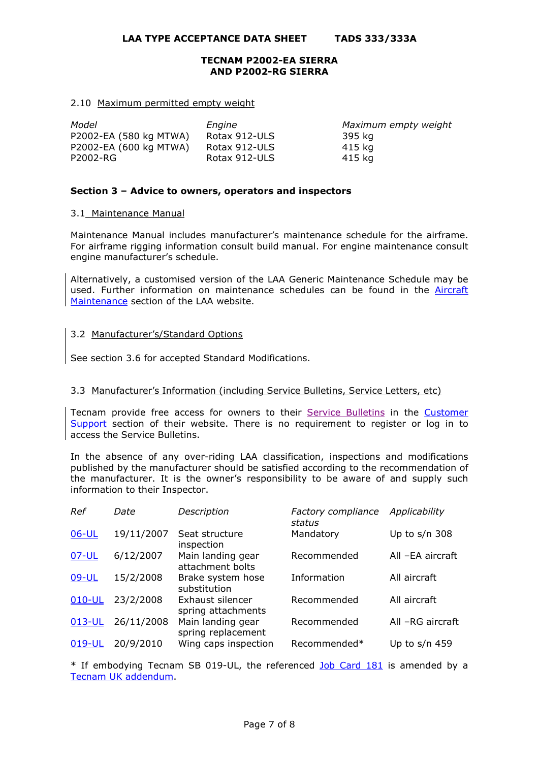#### 2.10 Maximum permitted empty weight

| Model                  | Engine        | Maximum empty weight |
|------------------------|---------------|----------------------|
| P2002-EA (580 kg MTWA) | Rotax 912-ULS | 395 kg               |
| P2002-EA (600 kg MTWA) | Rotax 912-ULS | 415 ka               |
| P2002-RG               | Rotax 912-ULS | 415 ka               |

### **Section 3 – Advice to owners, operators and inspectors**

### 3.1 Maintenance Manual

Maintenance Manual includes manufacturer's maintenance schedule for the airframe. For airframe rigging information consult build manual. For engine maintenance consult engine manufacturer's schedule.

Alternatively, a customised version of the LAA Generic Maintenance Schedule may be used. Further information on maintenance schedules can be found in the [Aircraft](http://www.lightaircraftassociation.co.uk/engineering/Maintenance/Aircraft_Maintenance.html)  [Maintenance](http://www.lightaircraftassociation.co.uk/engineering/Maintenance/Aircraft_Maintenance.html) section of the LAA website.

# 3.2 Manufacturer's/Standard Options

See section 3.6 for accepted Standard Modifications.

# 3.3 Manufacturer's Information (including Service Bulletins, Service Letters, etc)

Tecnam provide free access for owners to their [Service Bulletins](http://reservedarea.tecnam.com/Customer-Care/Service-Bulletins.aspx) in the [Customer](https://www.tecnam.com/customer-support/)  [Support](https://www.tecnam.com/customer-support/) section of their website. There is no requirement to register or log in to access the Service Bulletins.

In the absence of any over-riding LAA classification, inspections and modifications published by the manufacturer should be satisfied according to the recommendation of the manufacturer. It is the owner's responsibility to be aware of and supply such information to their Inspector.

| Ref     | Date       | Description                             | Factory compliance<br>status | Applicability    |
|---------|------------|-----------------------------------------|------------------------------|------------------|
| $06-UL$ | 19/11/2007 | Seat structure<br>inspection            | Mandatory                    | Up to $s/n$ 308  |
| 07-UL   | 6/12/2007  | Main landing gear<br>attachment bolts   | Recommended                  | All -EA aircraft |
| 09-UL   | 15/2/2008  | Brake system hose<br>substitution       | Information                  | All aircraft     |
| 010-UL  | 23/2/2008  | Exhaust silencer<br>spring attachments  | Recommended                  | All aircraft     |
| 013-UL  | 26/11/2008 | Main landing gear<br>spring replacement | Recommended                  | All -RG aircraft |
| 019-UL  | 20/9/2010  | Wing caps inspection                    | Recommended*                 | Up to $s/n$ 459  |

\* If embodying Tecnam SB 019-UL, the referenced [Job Card 181](http://www.lightaircraftassociation.co.uk/engineering/TADs/333/Tecnam%20Job%20Card%20181.pdf) is amended by a [Tecnam UK addendum.](http://www.lightaircraftassociation.co.uk/engineering/TADs/333/Tecnam%20Job%20Card%20181%20Addendum.pdf)